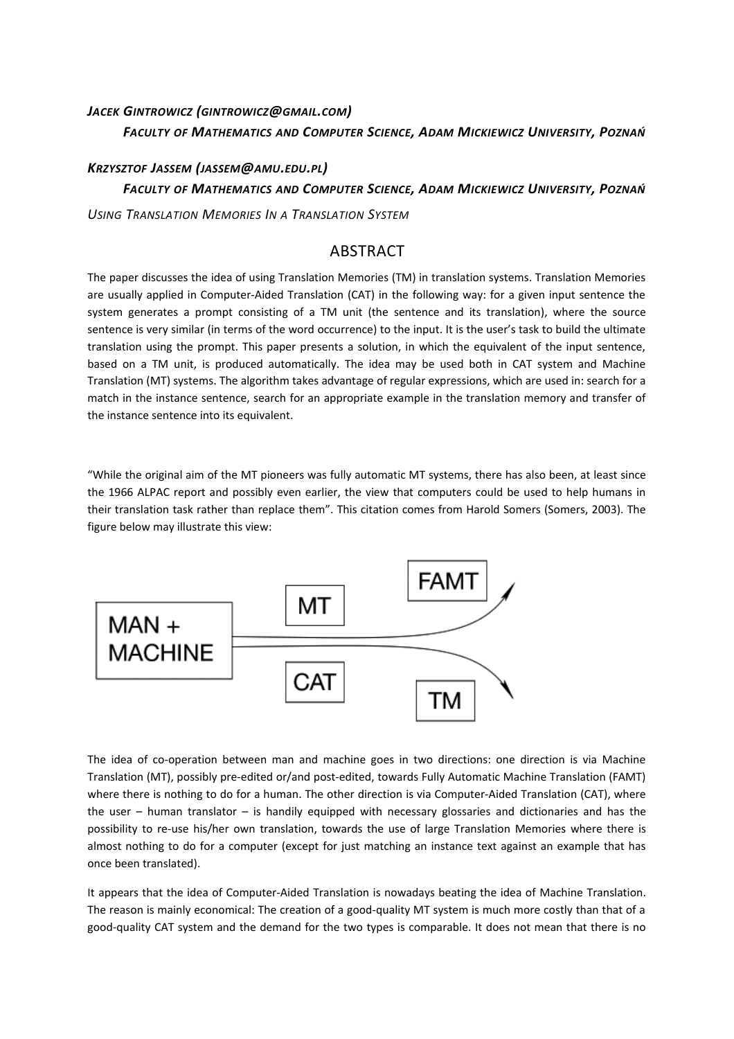# *JACEK GINTROWICZ (GINTROWICZ@GMAIL.COM) FACULTY OF MATHEMATICS AND COMPUTER SCIENCE, ADAM MICKIEWICZ UNIVERSITY, POZNAŃ*

# *KRZYSZTOF JASSEM (JASSEM@AMU.EDU.PL) FACULTY OF MATHEMATICS AND COMPUTER SCIENCE, ADAM MICKIEWICZ UNIVERSITY, POZNAŃ*

*USING TRANSLATION MEMORIES IN A TRANSLATION SYSTEM*

## ABSTRACT

The paper discusses the idea of using Translation Memories (TM) in translation systems. Translation Memories are usually applied in Computer-Aided Translation (CAT) in the following way: for a given input sentence the system generates a prompt consisting of a TM unit (the sentence and its translation), where the source sentence is very similar (in terms of the word occurrence) to the input. It is the user's task to build the ultimate translation using the prompt. This paper presents a solution, in which the equivalent of the input sentence, based on a TM unit, is produced automatically. The idea may be used both in CAT system and Machine Translation (MT) systems. The algorithm takes advantage of regular expressions, which are used in: search for a match in the instance sentence, search for an appropriate example in the translation memory and transfer of the instance sentence into its equivalent.

"While the original aim of the MT pioneers was fully automatic MT systems, there has also been, at least since the 1966 ALPAC report and possibly even earlier, the view that computers could be used to help humans in their translation task rather than replace them". This citation comes from Harold Somers (Somers, 2003). The figure below may illustrate this view:



The idea of co-operation between man and machine goes in two directions: one direction is via Machine Translation (MT), possibly pre-edited or/and post-edited, towards Fully Automatic Machine Translation (FAMT) where there is nothing to do for a human. The other direction is via Computer-Aided Translation (CAT), where the user – human translator – is handily equipped with necessary glossaries and dictionaries and has the possibility to re-use his/her own translation, towards the use of large Translation Memories where there is almost nothing to do for a computer (except for just matching an instance text against an example that has once been translated).

It appears that the idea of Computer-Aided Translation is nowadays beating the idea of Machine Translation. The reason is mainly economical: The creation of a good-quality MT system is much more costly than that of a good-quality CAT system and the demand for the two types is comparable. It does not mean that there is no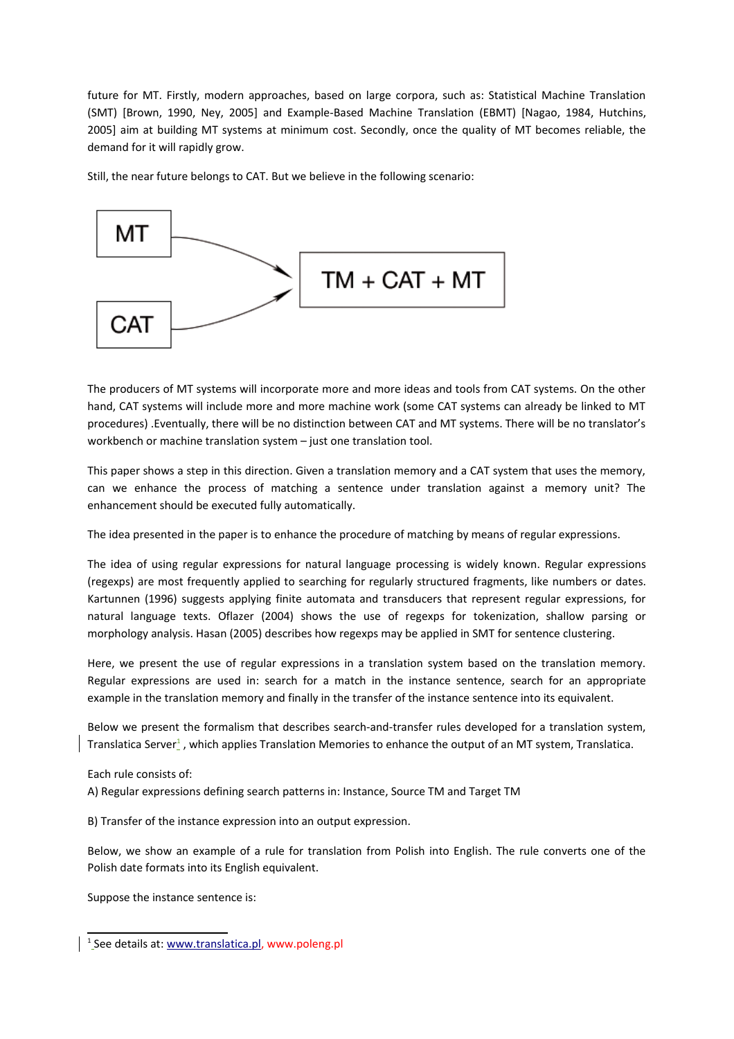future for MT. Firstly, modern approaches, based on large corpora, such as: Statistical Machine Translation (SMT) [Brown, 1990, Ney, 2005] and Example-Based Machine Translation (EBMT) [Nagao, 1984, Hutchins, 2005] aim at building MT systems at minimum cost. Secondly, once the quality of MT becomes reliable, the demand for it will rapidly grow.

Still, the near future belongs to CAT. But we believe in the following scenario:



The producers of MT systems will incorporate more and more ideas and tools from CAT systems. On the other hand, CAT systems will include more and more machine work (some CAT systems can already be linked to MT procedures) .Eventually, there will be no distinction between CAT and MT systems. There will be no translator's workbench or machine translation system – just one translation tool.

This paper shows a step in this direction. Given a translation memory and a CAT system that uses the memory, can we enhance the process of matching a sentence under translation against a memory unit? The enhancement should be executed fully automatically.

The idea presented in the paper is to enhance the procedure of matching by means of regular expressions.

The idea of using regular expressions for natural language processing is widely known. Regular expressions (regexps) are most frequently applied to searching for regularly structured fragments, like numbers or dates. Kartunnen (1996) suggests applying finite automata and transducers that represent regular expressions, for natural language texts. Oflazer (2004) shows the use of regexps for tokenization, shallow parsing or morphology analysis. Hasan (2005) describes how regexps may be applied in SMT for sentence clustering.

Here, we present the use of regular expressions in a translation system based on the translation memory. Regular expressions are used in: search for a match in the instance sentence, search for an appropriate example in the translation memory and finally in the transfer of the instance sentence into its equivalent.

Below we present the formalism that describes search-and-transfer rules developed for a translation system, TranslaticaServer<sup>1</sup>, which applies Translation Memories to enhance the output of an MT system, Translatica.

Each rule consists of:

A) Regular expressions defining search patterns in: Instance, Source TM and Target TM

B) Transfer of the instance expression into an output expression.

Below, we show an example of a rule for translation from Polish into English. The rule converts one of the Polish date formats into its English equivalent.

Suppose the instance sentence is:

<span id="page-1-0"></span><sup>&</sup>lt;sup>1</sup>\_See details at: [www.translatica.pl,](http://www.translatica.pl/) www.poleng.pl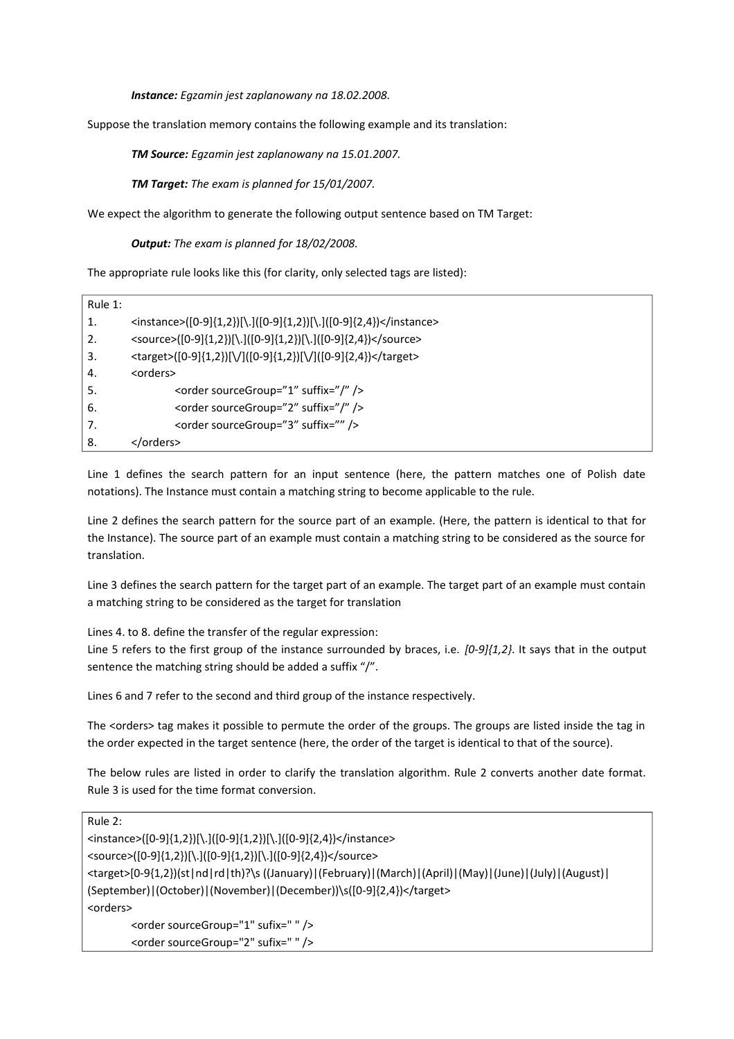*Instance: Egzamin jest zaplanowany na 18.02.2008.*

Suppose the translation memory contains the following example and its translation:

*TM Source: Egzamin jest zaplanowany na 15.01.2007.*

*TM Target: The exam is planned for 15/01/2007.*

We expect the algorithm to generate the following output sentence based on TM Target:

*Output: The exam is planned for 18/02/2008.*

The appropriate rule looks like this (for clarity, only selected tags are listed):

| Rule 1: |                                                                   |
|---------|-------------------------------------------------------------------|
| 1.      | <instance>([0-9]{1,2})[\.]([0-9]{1,2})[\.]([0-9]{2,4})</instance> |
| 2.      | <source/> ([0-9]{1,2})[\.]([0-9]{1,2})[\.]([0-9]{2,4})            |
| 3.      | <target>([0-9]{1,2})[\/]([0-9]{1,2})[\/]([0-9]{2,4})</target>     |
| 4.      | <orders></orders>                                                 |
| .5      | <order sourcegroup="1" suffix="/"></order>                        |
| 6.      | <order sourcegroup="2" suffix="/"></order>                        |
| 7.      | <order sourcegroup="3" suffix=""></order>                         |
| 8.      |                                                                   |

Line 1 defines the search pattern for an input sentence (here, the pattern matches one of Polish date notations). The Instance must contain a matching string to become applicable to the rule.

Line 2 defines the search pattern for the source part of an example. (Here, the pattern is identical to that for the Instance). The source part of an example must contain a matching string to be considered as the source for translation.

Line 3 defines the search pattern for the target part of an example. The target part of an example must contain a matching string to be considered as the target for translation

Lines 4. to 8. define the transfer of the regular expression:

Line 5 refers to the first group of the instance surrounded by braces, i.e. *[0-9]{1,2}*. It says that in the output sentence the matching string should be added a suffix "/".

Lines 6 and 7 refer to the second and third group of the instance respectively.

The <orders> tag makes it possible to permute the order of the groups. The groups are listed inside the tag in the order expected in the target sentence (here, the order of the target is identical to that of the source).

The below rules are listed in order to clarify the translation algorithm. Rule 2 converts another date format. Rule 3 is used for the time format conversion.

| Rule $2$ :                                                                                                  |  |
|-------------------------------------------------------------------------------------------------------------|--|
| <instance>([0-9]{1,2})[\.]([0-9]{1,2})[\.]([0-9]{2,4})</instance>                                           |  |
| <source/> ([0-9]{1,2})[\.]([0-9]{1,2})[\.]([0-9]{2,4})                                                      |  |
| (1,0) (darget>[0-9{1,2})(st nd rd th)?\s ((January) (February) (March) (April) (May) (June) (July) (August) |  |
| (September) (October) (November) (December))\s([0-9]{2,4})                                                  |  |
| <orders></orders>                                                                                           |  |
| <order sourcegroup="1" sufix=" "></order>                                                                   |  |
| <order sourcegroup="2" sufix=" "></order>                                                                   |  |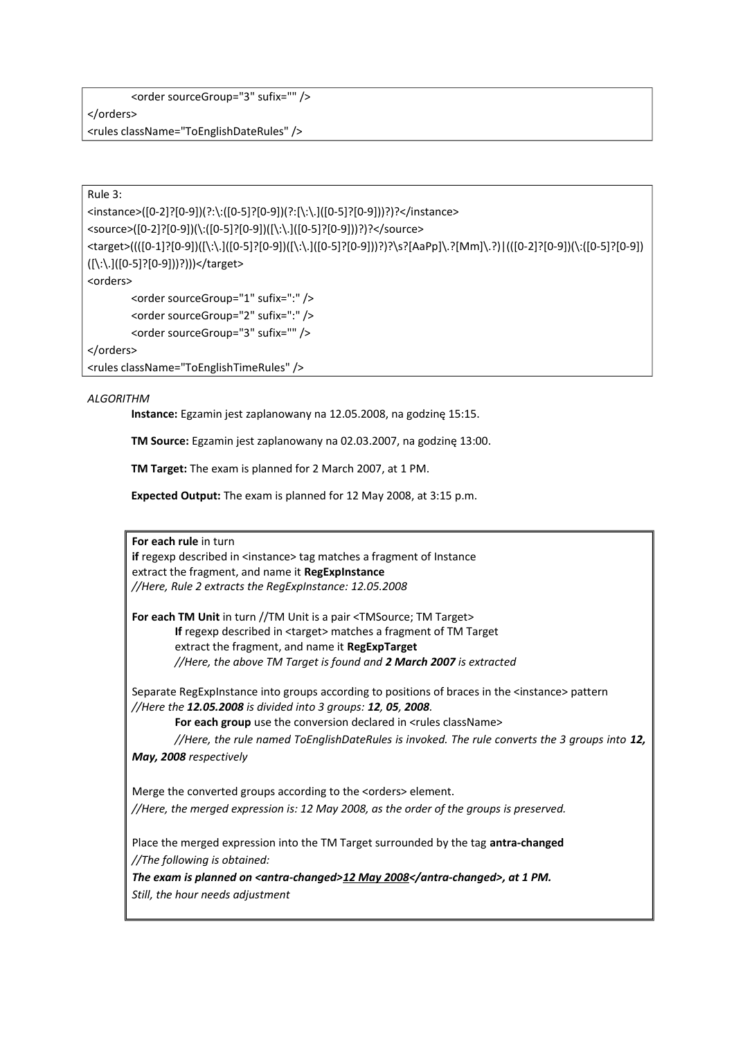<rules className="ToEnglishDateRules" />

Rule 3:

<instance>([0-2]?[0-9])(?:\:([0-5]?[0-9])(?:[\:\.]([0-5]?[0-9]))?)?</instance> <source>([0-2]?[0-9])(\:([0-5]?[0-9])([\:\.]([0-5]?[0-9]))?)?</source> <target>((([0-1]?[0-9])([\:\.]([0-5]?[0-9])([\:\.]([0-5]?[0-9]))?)?\s?[AaPp]\.?[Mm]\.?)|(([0-2]?[0-9])(\:([0-5]?[0-9]) ([\:\.]([0-5]?[0-9]))?)))</target> <orders> <order sourceGroup="1" sufix=":" /> <order sourceGroup="2" sufix=":" /> <order sourceGroup="3" sufix="" />

</orders>

<rules className="ToEnglishTimeRules" />

#### *ALGORITHM*

**Instance:** Egzamin jest zaplanowany na 12.05.2008, na godzinę 15:15.

**TM Source:** Egzamin jest zaplanowany na 02.03.2007, na godzinę 13:00.

**TM Target:** The exam is planned for 2 March 2007, at 1 PM.

**Expected Output:** The exam is planned for 12 May 2008, at 3:15 p.m.

**For each rule** in turn

**if** regexp described in <instance> tag matches a fragment of Instance extract the fragment, and name it **RegExpInstance**  *//Here, Rule 2 extracts the RegExpInstance: 12.05.2008*

**For each TM Unit** in turn //TM Unit is a pair <TMSource; TM Target> **If** regexp described in <target> matches a fragment of TM Target extract the fragment, and name it **RegExpTarget** *//Here, the above TM Target is found and 2 March 2007 is extracted*

Separate RegExpInstance into groups according to positions of braces in the <instance> pattern *//Here the 12.05.2008 is divided into 3 groups: 12, 05, 2008.*

For each group use the conversion declared in <rules className>

*//Here, the rule named ToEnglishDateRules is invoked. The rule converts the 3 groups into 12, May, 2008 respectively*

Merge the converted groups according to the <orders> element. *//Here, the merged expression is: 12 May 2008, as the order of the groups is preserved.*

Place the merged expression into the TM Target surrounded by the tag **antra-changed** *//The following is obtained:*

The exam is planned on <antra-changed> $12$  May  $2008$ </antra-changed>, at 1 PM.

*Still, the hour needs adjustment*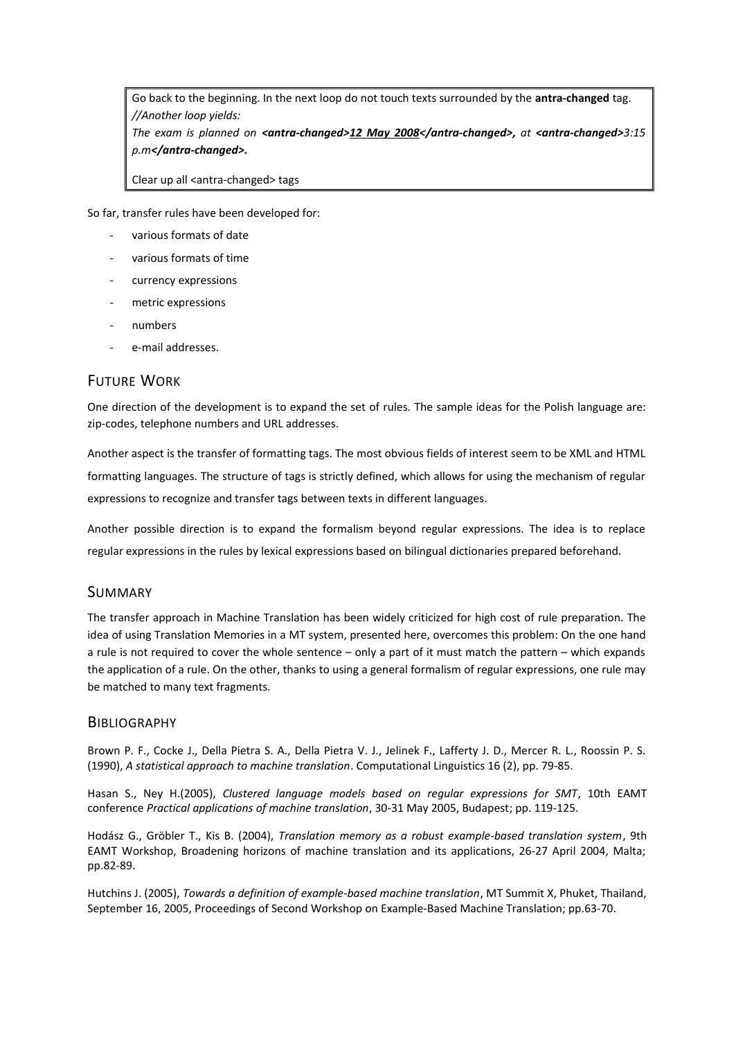Go back to the beginning. In the next loop do not touch texts surrounded by the **antra-changed** tag. *//Another loop yields:*

*The exam is planned on <antra-changed>12 May 2008</antra-changed>, at <antra-changed>3:15 p.m</antra-changed>.*

Clear up all <antra-changed> tags

So far, transfer rules have been developed for:

- various formats of date
- various formats of time
- currency expressions
- metric expressions
- numbers
- e-mail addresses.

### FUTURE WORK

One direction of the development is to expand the set of rules. The sample ideas for the Polish language are: zip-codes, telephone numbers and URL addresses.

Another aspect is the transfer of formatting tags. The most obvious fields of interest seem to be XML and HTML formatting languages. The structure of tags is strictly defined, which allows for using the mechanism of regular expressions to recognize and transfer tags between texts in different languages.

Another possible direction is to expand the formalism beyond regular expressions. The idea is to replace regular expressions in the rules by lexical expressions based on bilingual dictionaries prepared beforehand.

#### SUMMARY

The transfer approach in Machine Translation has been widely criticized for high cost of rule preparation. The idea of using Translation Memories in a MT system, presented here, overcomes this problem: On the one hand a rule is not required to cover the whole sentence – only a part of it must match the pattern – which expands the application of a rule. On the other, thanks to using a general formalism of regular expressions, one rule may be matched to many text fragments.

#### **BIBLIOGRAPHY**

Brown P. F., Cocke J., Della Pietra S. A., Della Pietra V. J., Jelinek F., Lafferty J. D., Mercer R. L., Roossin P. S. (1990), *A statistical approach to machine translation*. Computational Linguistics 16 (2), pp. 79-85.

Hasan S., Ney H.(2005), *Clustered language models based on regular expressions for SMT*, 10th EAMT conference *Practical applications of machine translation*, 30-31 May 2005, Budapest; pp. 119-125.

Hodász G., Gröbler T., Kis B. (2004), *Translation memory as a robust example-based translation system*, 9th EAMT Workshop, Broadening horizons of machine translation and its applications, 26-27 April 2004, Malta; pp.82-89.

Hutchins J. (2005), *Towards a definition of example-based machine translation*, MT Summit X, Phuket, Thailand, September 16, 2005, Proceedings of Second Workshop on Example-Based Machine Translation; pp.63-70.